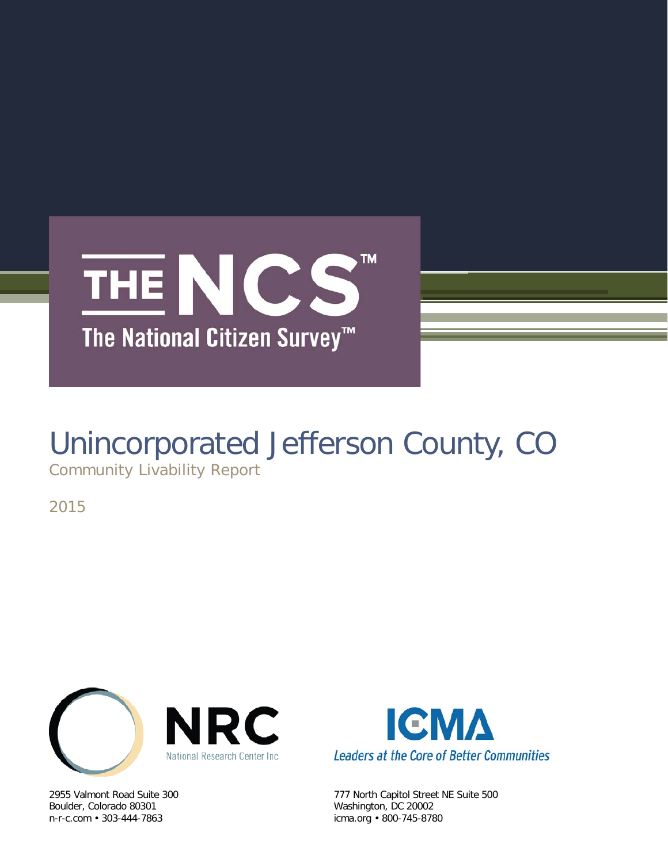

# Unincorporated Jefferson County, CO

Community Livability Report

2015



Boulder, Colorado 80301 Washington, DC 20002<br>
n-r-c.com • 303-444-7863 (icma.org • 800-745-878



2955 Valmont Road Suite 300 777 North Capitol Street NE Suite 500 icma.org • 800-745-8780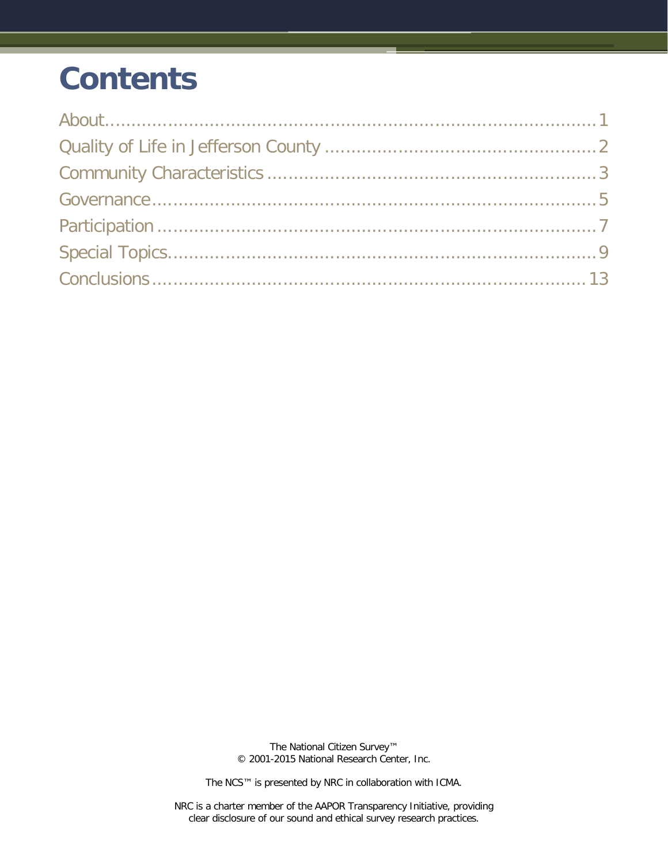# **Contents**

The National Citizen Survey™ © 2001-2015 National Research Center, Inc.

The NCS™ is presented by NRC in collaboration with ICMA.

NRC is a charter member of the AAPOR Transparency Initiative, providing clear disclosure of our sound and ethical survey research practices.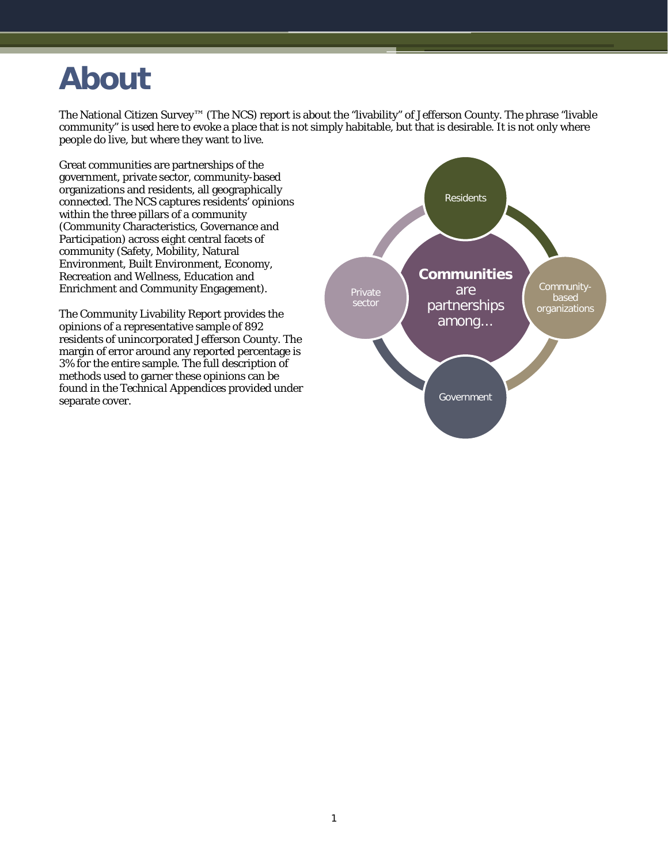### <span id="page-2-0"></span>**About**

The National Citizen Survey™ (The NCS) report is about the "livability" of Jefferson County. The phrase "livable community" is used here to evoke a place that is not simply habitable, but that is desirable. It is not only where people do live, but where they want to live.

Great communities are partnerships of the government, private sector, community-based organizations and residents, all geographically connected. The NCS captures residents' opinions within the three pillars of a community (Community Characteristics, Governance and Participation) across eight central facets of community (Safety, Mobility, Natural Environment, Built Environment, Economy, Recreation and Wellness, Education and Enrichment and Community Engagement).

The Community Livability Report provides the opinions of a representative sample of 892 residents of unincorporated Jefferson County. The margin of error around any reported percentage is 3% for the entire sample. The full description of methods used to garner these opinions can be found in the *Technical Appendices* provided under separate cover.

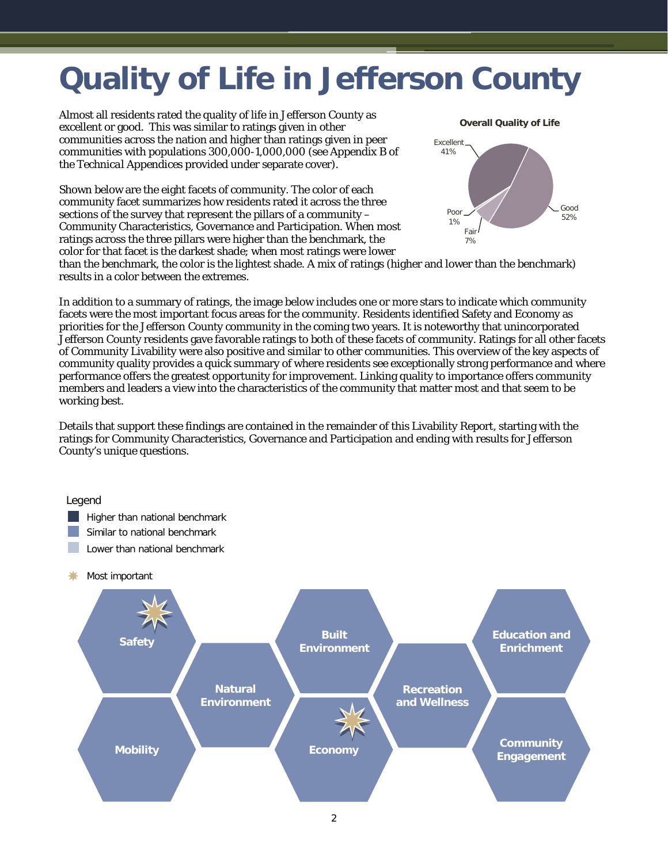# <span id="page-3-0"></span>**Quality of Life in Jefferson County**

Almost all residents rated the quality of life in Jefferson County as excellent or good. This was similar to ratings given in other communities across the nation and higher than ratings given in peer communities with populations 300,000-1,000,000 (see Appendix B of the *Technical Appendices* provided under separate cover).

Shown below are the eight facets of community. The color of each community facet summarizes how residents rated it across the three sections of the survey that represent the pillars of a community – Community Characteristics, Governance and Participation. When most ratings across the three pillars were higher than the benchmark, the color for that facet is the darkest shade; when most ratings were lower



than the benchmark, the color is the lightest shade. A mix of ratings (higher and lower than the benchmark) results in a color between the extremes.

In addition to a summary of ratings, the image below includes one or more stars to indicate which community facets were the most important focus areas for the community. Residents identified Safety and Economy as priorities for the Jefferson County community in the coming two years. It is noteworthy that unincorporated Jefferson County residents gave favorable ratings to both of these facets of community. Ratings for all other facets of Community Livability were also positive and similar to other communities. This overview of the key aspects of community quality provides a quick summary of where residents see exceptionally strong performance and where performance offers the greatest opportunity for improvement. Linking quality to importance offers community members and leaders a view into the characteristics of the community that matter most and that seem to be working best.

Details that support these findings are contained in the remainder of this Livability Report, starting with the ratings for Community Characteristics, Governance and Participation and ending with results for Jefferson County's unique questions.

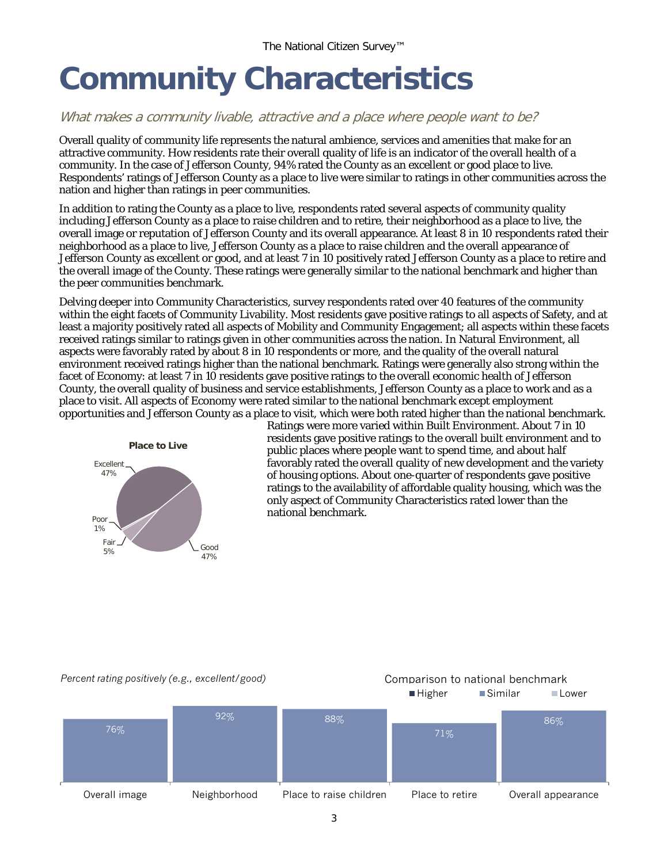# <span id="page-4-0"></span>**Community Characteristics**

### What makes a community livable, attractive and a place where people want to be?

Overall quality of community life represents the natural ambience, services and amenities that make for an attractive community. How residents rate their overall quality of life is an indicator of the overall health of a community. In the case of Jefferson County, 94% rated the County as an excellent or good place to live. Respondents' ratings of Jefferson County as a place to live were similar to ratings in other communities across the nation and higher than ratings in peer communities.

In addition to rating the County as a place to live, respondents rated several aspects of community quality including Jefferson County as a place to raise children and to retire, their neighborhood as a place to live, the overall image or reputation of Jefferson County and its overall appearance. At least 8 in 10 respondents rated their neighborhood as a place to live, Jefferson County as a place to raise children and the overall appearance of Jefferson County as excellent or good, and at least 7 in 10 positively rated Jefferson County as a place to retire and the overall image of the County. These ratings were generally similar to the national benchmark and higher than the peer communities benchmark.

Delving deeper into Community Characteristics, survey respondents rated over 40 features of the community within the eight facets of Community Livability. Most residents gave positive ratings to all aspects of Safety, and at least a majority positively rated all aspects of Mobility and Community Engagement; all aspects within these facets received ratings similar to ratings given in other communities across the nation. In Natural Environment, all aspects were favorably rated by about 8 in 10 respondents or more, and the quality of the overall natural environment received ratings higher than the national benchmark. Ratings were generally also strong within the facet of Economy: at least 7 in 10 residents gave positive ratings to the overall economic health of Jefferson County, the overall quality of business and service establishments, Jefferson County as a place to work and as a place to visit. All aspects of Economy were rated similar to the national benchmark except employment opportunities and Jefferson County as a place to visit, which were both rated higher than the national benchmark.



Ratings were more varied within Built Environment. About 7 in 10 residents gave positive ratings to the overall built environment and to public places where people want to spend time, and about half favorably rated the overall quality of new development and the variety of housing options. About one-quarter of respondents gave positive ratings to the availability of affordable quality housing, which was the only aspect of Community Characteristics rated lower than the national benchmark.

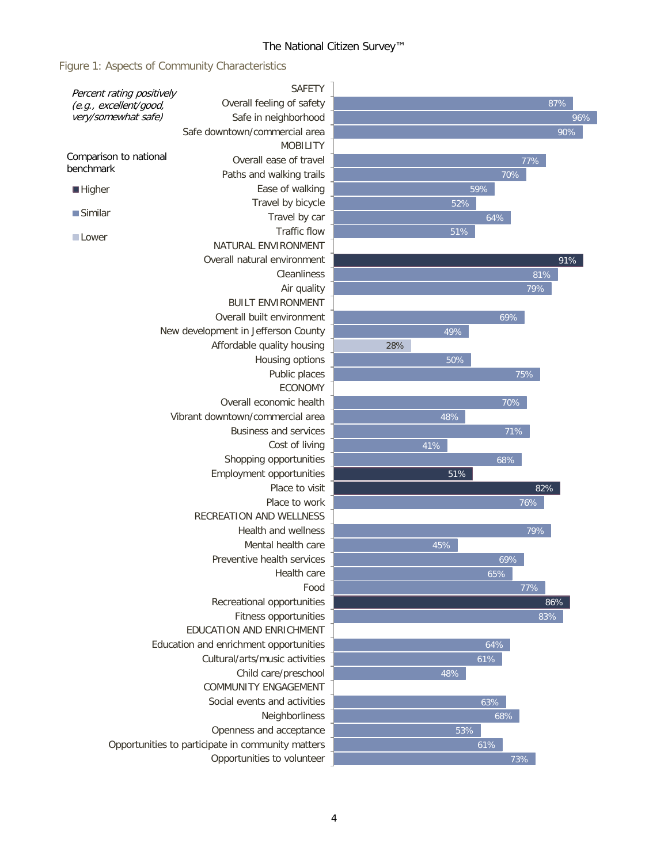#### The National Citizen Survey™

Figure 1: Aspects of Community Characteristics

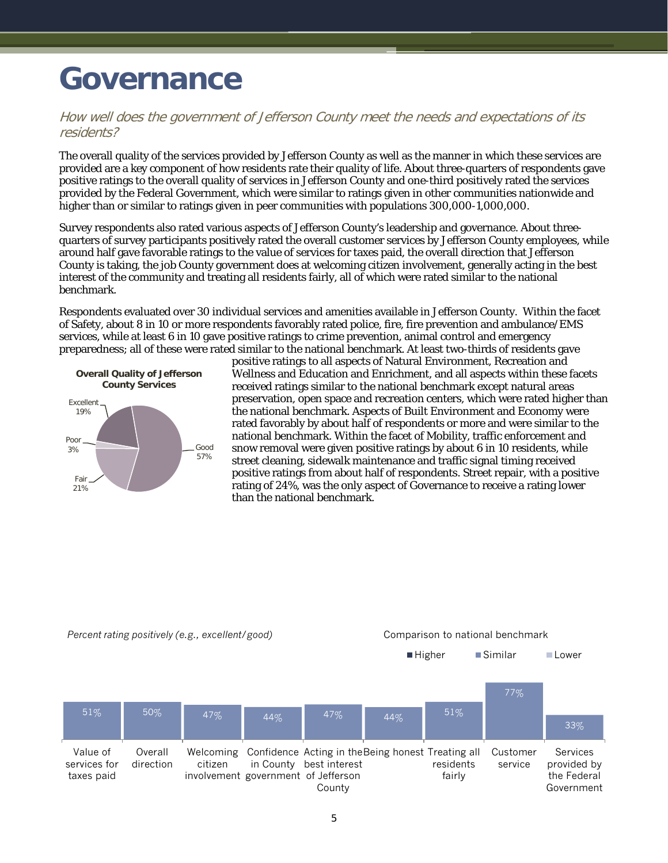### <span id="page-6-0"></span>**Governance**

### How well does the government of Jefferson County meet the needs and expectations of its residents?

The overall quality of the services provided by Jefferson County as well as the manner in which these services are provided are a key component of how residents rate their quality of life. About three-quarters of respondents gave positive ratings to the overall quality of services in Jefferson County and one-third positively rated the services provided by the Federal Government, which were similar to ratings given in other communities nationwide and higher than or similar to ratings given in peer communities with populations 300,000-1,000,000.

Survey respondents also rated various aspects of Jefferson County's leadership and governance. About threequarters of survey participants positively rated the overall customer services by Jefferson County employees, while around half gave favorable ratings to the value of services for taxes paid, the overall direction that Jefferson County is taking, the job County government does at welcoming citizen involvement, generally acting in the best interest of the community and treating all residents fairly, all of which were rated similar to the national benchmark.

Respondents evaluated over 30 individual services and amenities available in Jefferson County. Within the facet of Safety, about 8 in 10 or more respondents favorably rated police, fire, fire prevention and ambulance/EMS services, while at least 6 in 10 gave positive ratings to crime prevention, animal control and emergency preparedness; all of these were rated similar to the national benchmark. At least two-thirds of residents gave



positive ratings to all aspects of Natural Environment, Recreation and Wellness and Education and Enrichment, and all aspects within these facets received ratings similar to the national benchmark except natural areas preservation, open space and recreation centers, which were rated higher than the national benchmark. Aspects of Built Environment and Economy were rated favorably by about half of respondents or more and were similar to the national benchmark. Within the facet of Mobility, traffic enforcement and snow removal were given positive ratings by about 6 in 10 residents, while street cleaning, sidewalk maintenance and traffic signal timing received positive ratings from about half of respondents. Street repair, with a positive rating of 24%, was the only aspect of Governance to receive a rating lower than the national benchmark.

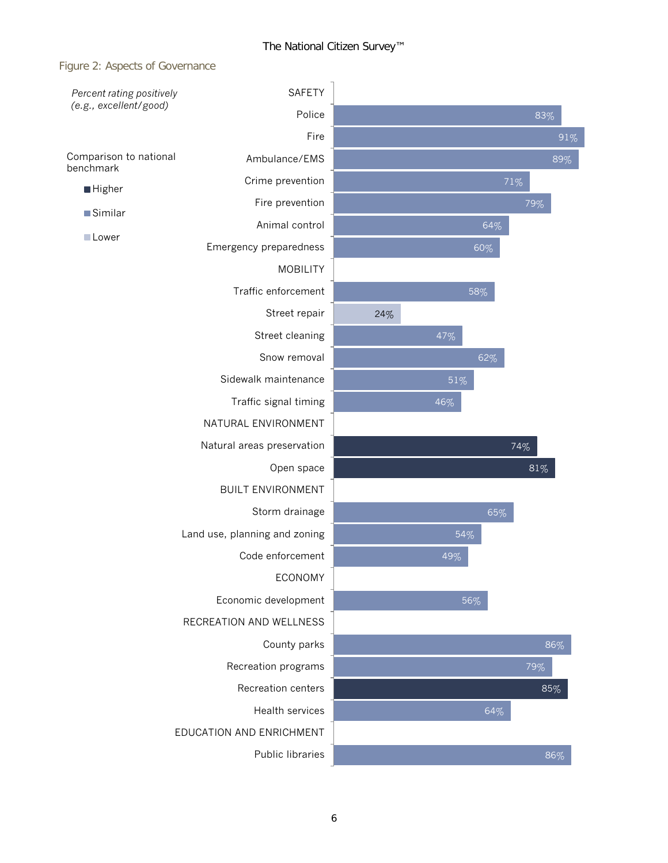

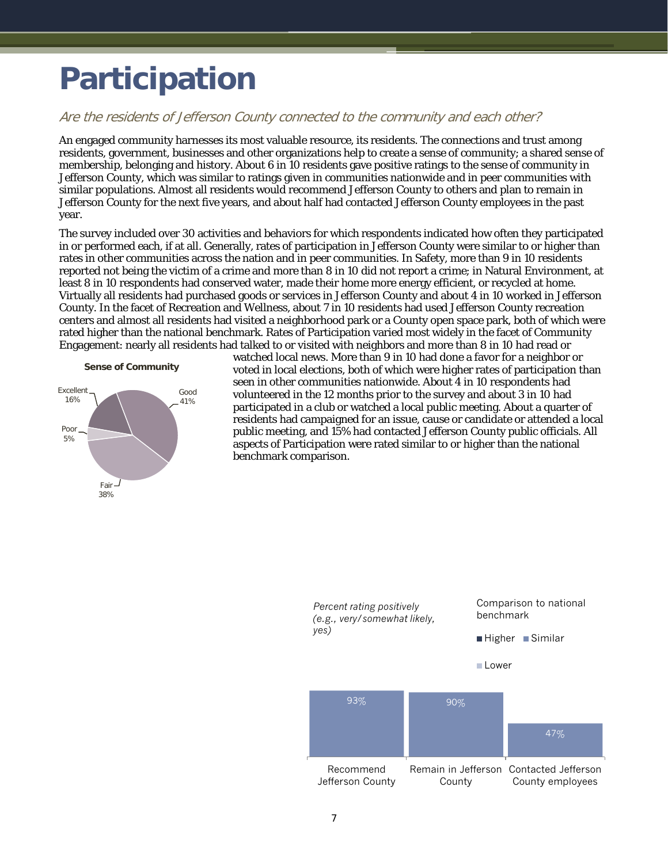# <span id="page-8-0"></span>**Participation**

### Are the residents of Jefferson County connected to the community and each other?

An engaged community harnesses its most valuable resource, its residents. The connections and trust among residents, government, businesses and other organizations help to create a sense of community; a shared sense of membership, belonging and history. About 6 in 10 residents gave positive ratings to the sense of community in Jefferson County, which was similar to ratings given in communities nationwide and in peer communities with similar populations. Almost all residents would recommend Jefferson County to others and plan to remain in Jefferson County for the next five years, and about half had contacted Jefferson County employees in the past year.

The survey included over 30 activities and behaviors for which respondents indicated how often they participated in or performed each, if at all. Generally, rates of participation in Jefferson County were similar to or higher than rates in other communities across the nation and in peer communities. In Safety, more than 9 in 10 residents reported not being the victim of a crime and more than 8 in 10 did not report a crime; in Natural Environment, at least 8 in 10 respondents had conserved water, made their home more energy efficient, or recycled at home. Virtually all residents had purchased goods or services in Jefferson County and about 4 in 10 worked in Jefferson County. In the facet of Recreation and Wellness, about 7 in 10 residents had used Jefferson County recreation centers and almost all residents had visited a neighborhood park or a County open space park, both of which were rated higher than the national benchmark. Rates of Participation varied most widely in the facet of Community Engagement: nearly all residents had talked to or visited with neighbors and more than 8 in 10 had read or



watched local news. More than 9 in 10 had done a favor for a neighbor or voted in local elections, both of which were higher rates of participation than seen in other communities nationwide. About 4 in 10 respondents had volunteered in the 12 months prior to the survey and about 3 in 10 had participated in a club or watched a local public meeting. About a quarter of residents had campaigned for an issue, cause or candidate or attended a local public meeting, and 15% had contacted Jefferson County public officials. All aspects of Participation were rated similar to or higher than the national benchmark comparison.

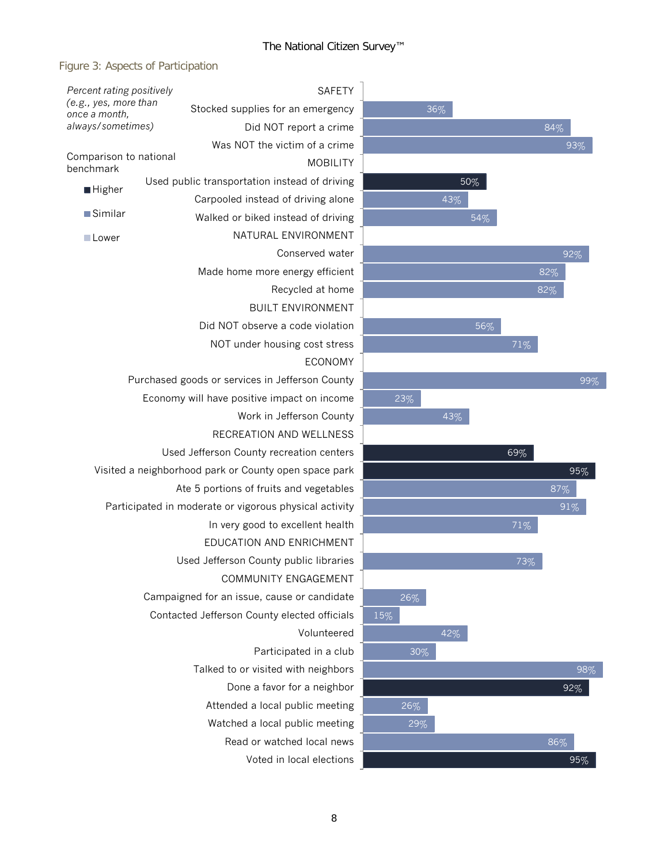### Figure 3: Aspects of Participation

| Percent rating positively<br>(e.g., yes, more than    | <b>SAFETY</b><br>Stocked supplies for an emergency      |     |     |        |
|-------------------------------------------------------|---------------------------------------------------------|-----|-----|--------|
| once a month,<br>always/sometimes)                    |                                                         | 36% |     |        |
|                                                       | Did NOT report a crime<br>Was NOT the victim of a crime |     |     | 84%    |
| Comparison to national                                | <b>MOBILITY</b>                                         |     |     | 93%    |
| benchmark                                             |                                                         |     |     |        |
| <b>Higher</b>                                         | Used public transportation instead of driving           |     | 50% |        |
| <b>Similar</b>                                        | Carpooled instead of driving alone                      | 43% |     |        |
|                                                       | Walked or biked instead of driving                      |     | 54% |        |
| <b>Lower</b>                                          | NATURAL ENVIRONMENT                                     |     |     |        |
|                                                       | Conserved water                                         |     |     | 92%    |
|                                                       | Made home more energy efficient                         |     |     | 82%    |
|                                                       | Recycled at home                                        |     |     | 82%    |
|                                                       | <b>BUILT ENVIRONMENT</b>                                |     |     |        |
|                                                       | Did NOT observe a code violation                        |     | 56% |        |
|                                                       | NOT under housing cost stress                           |     | 71% |        |
|                                                       | <b>ECONOMY</b>                                          |     |     |        |
| Purchased goods or services in Jefferson County       |                                                         |     |     | $99\%$ |
|                                                       | Economy will have positive impact on income             | 23% |     |        |
|                                                       | Work in Jefferson County                                | 43% |     |        |
|                                                       | RECREATION AND WELLNESS                                 |     |     |        |
|                                                       | Used Jefferson County recreation centers                |     | 69% |        |
| Visited a neighborhood park or County open space park |                                                         |     |     | 95%    |
|                                                       | Ate 5 portions of fruits and vegetables                 |     |     | 87%    |
|                                                       | Participated in moderate or vigorous physical activity  |     |     | 91%    |
|                                                       | In very good to excellent health                        |     | 71% |        |
|                                                       | EDUCATION AND ENRICHMENT                                |     |     |        |
|                                                       | Used Jefferson County public libraries                  |     | 73% |        |
|                                                       | COMMUNITY ENGAGEMENT                                    |     |     |        |
|                                                       | Campaigned for an issue, cause or candidate             | 26% |     |        |
|                                                       | Contacted Jefferson County elected officials            | 15% |     |        |
|                                                       | Volunteered                                             | 42% |     |        |
|                                                       | Participated in a club                                  | 30% |     |        |
|                                                       | Talked to or visited with neighbors                     |     |     | 98%    |
|                                                       | Done a favor for a neighbor                             |     |     | 92%    |
|                                                       | Attended a local public meeting                         | 26% |     |        |
|                                                       | Watched a local public meeting                          | 29% |     |        |
|                                                       | Read or watched local news                              |     |     | 86%    |
|                                                       | Voted in local elections                                |     |     | 95%    |

8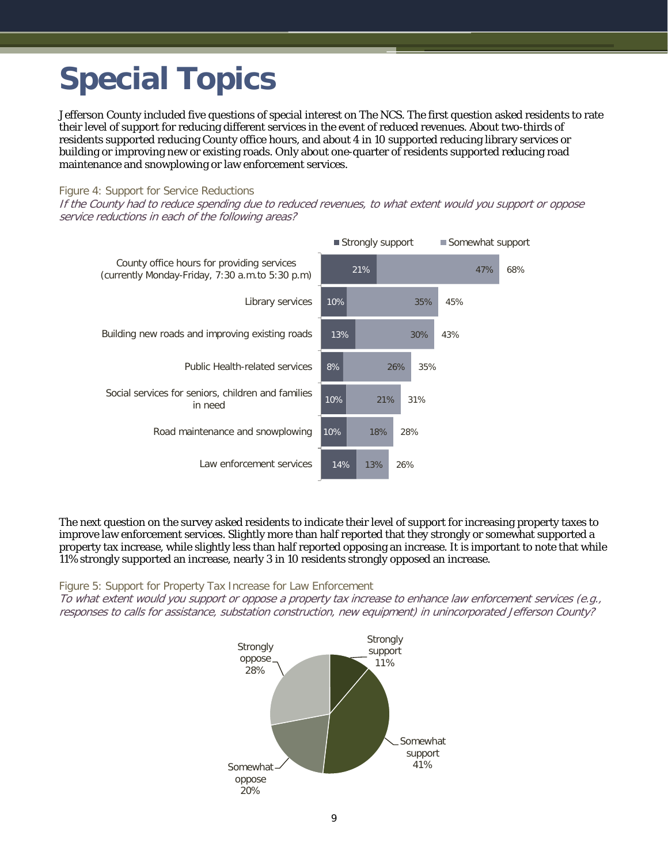# <span id="page-10-0"></span>**Special Topics**

Jefferson County included five questions of special interest on The NCS. The first question asked residents to rate their level of support for reducing different services in the event of reduced revenues. About two-thirds of residents supported reducing County office hours, and about 4 in 10 supported reducing library services or building or improving new or existing roads. Only about one-quarter of residents supported reducing road maintenance and snowplowing or law enforcement services.

#### Figure 4: Support for Service Reductions

If the County had to reduce spending due to reduced revenues, to what extent would you support or oppose service reductions in each of the following areas?



The next question on the survey asked residents to indicate their level of support for increasing property taxes to improve law enforcement services. Slightly more than half reported that they strongly or somewhat supported a property tax increase, while slightly less than half reported opposing an increase. It is important to note that while 11% strongly supported an increase, nearly 3 in 10 residents strongly opposed an increase.

Figure 5: Support for Property Tax Increase for Law Enforcement

To what extent would you support or oppose a property tax increase to enhance law enforcement services (e.g., responses to calls for assistance, substation construction, new equipment) in unincorporated Jefferson County?

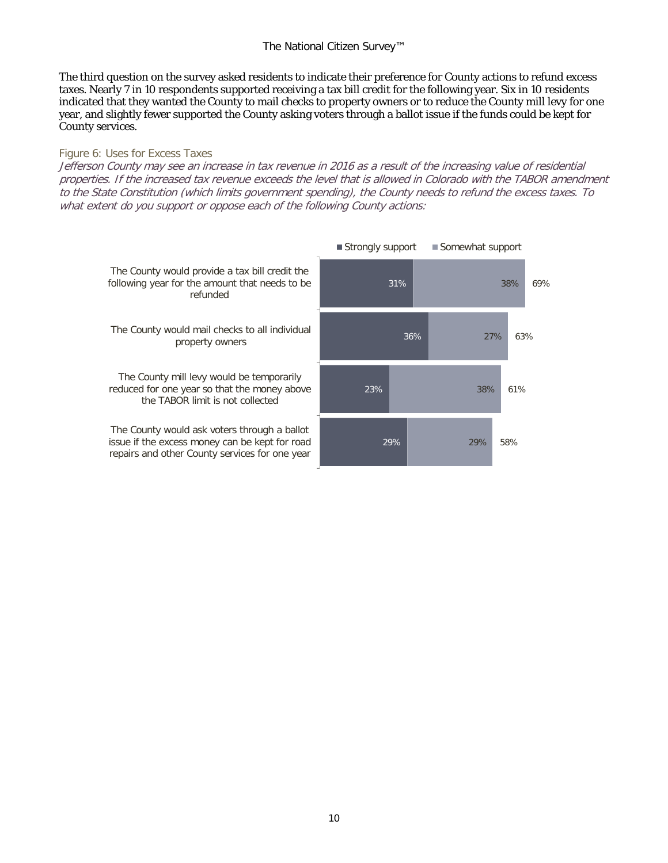The third question on the survey asked residents to indicate their preference for County actions to refund excess taxes. Nearly 7 in 10 respondents supported receiving a tax bill credit for the following year. Six in 10 residents indicated that they wanted the County to mail checks to property owners or to reduce the County mill levy for one year, and slightly fewer supported the County asking voters through a ballot issue if the funds could be kept for County services.

#### Figure 6: Uses for Excess Taxes

Jefferson County may see an increase in tax revenue in 2016 as a result of the increasing value of residential properties. If the increased tax revenue exceeds the level that is allowed in Colorado with the TABOR amendment to the State Constitution (which limits government spending), the County needs to refund the excess taxes. To what extent do you support or oppose each of the following County actions:

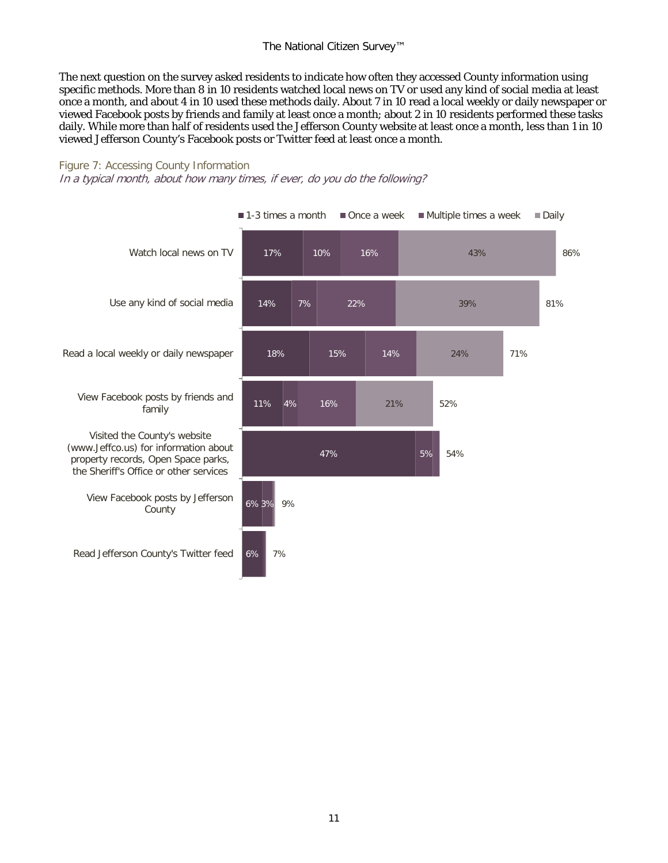The next question on the survey asked residents to indicate how often they accessed County information using specific methods. More than 8 in 10 residents watched local news on TV or used any kind of social media at least once a month, and about 4 in 10 used these methods daily. About 7 in 10 read a local weekly or daily newspaper or viewed Facebook posts by friends and family at least once a month; about 2 in 10 residents performed these tasks daily. While more than half of residents used the Jefferson County website at least once a month, less than 1 in 10 viewed Jefferson County's Facebook posts or Twitter feed at least once a month.

#### Figure 7: Accessing County Information

In a typical month, about how many times, if ever, do you do the following?

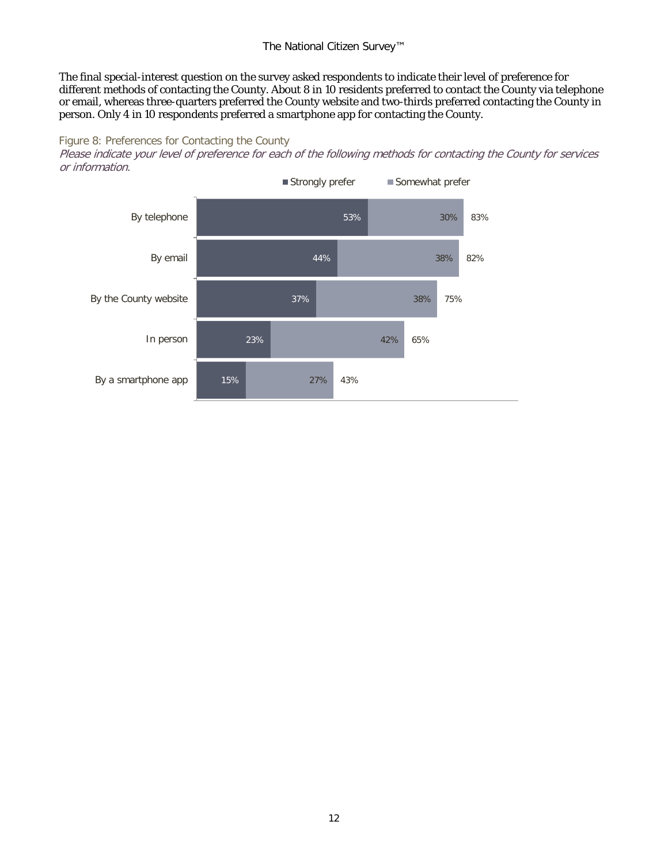#### The National Citizen Survey™

The final special-interest question on the survey asked respondents to indicate their level of preference for different methods of contacting the County. About 8 in 10 residents preferred to contact the County via telephone or email, whereas three-quarters preferred the County website and two-thirds preferred contacting the County in person. Only 4 in 10 respondents preferred a smartphone app for contacting the County.

#### Figure 8: Preferences for Contacting the County

Please indicate your level of preference for each of the following methods for contacting the County for services or information.